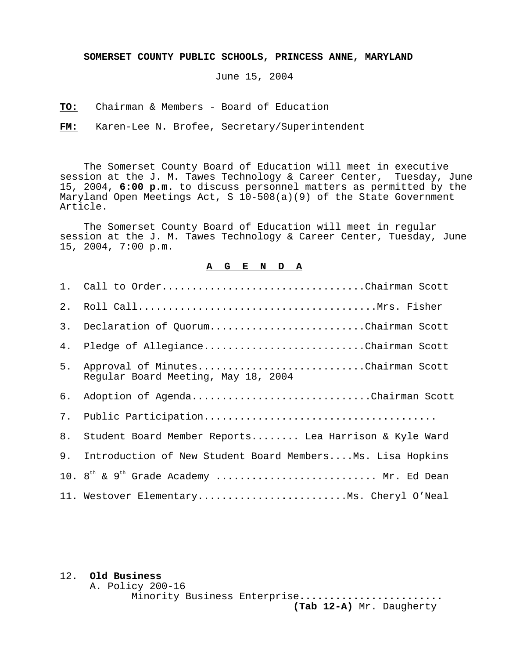**SOMERSET COUNTY PUBLIC SCHOOLS, PRINCESS ANNE, MARYLAND**

June 15, 2004

**TO:** Chairman & Members - Board of Education

**FM:** Karen-Lee N. Brofee, Secretary/Superintendent

The Somerset County Board of Education will meet in executive session at the J. M. Tawes Technology & Career Center, Tuesday, June 15, 2004, **6:00 p.m.** to discuss personnel matters as permitted by the Maryland Open Meetings Act, S 10-508(a)(9) of the State Government Article.

The Somerset County Board of Education will meet in regular session at the J. M. Tawes Technology & Career Center, Tuesday, June 15, 2004, 7:00 p.m.

## **A G E N D A**

|    | 1. Call to OrderChairman Scott                                           |
|----|--------------------------------------------------------------------------|
| 2. |                                                                          |
| 3. | Declaration of QuorumChairman Scott                                      |
| 4. | Pledge of AllegianceChairman Scott                                       |
| 5. | Approval of MinutesChairman Scott<br>Regular Board Meeting, May 18, 2004 |
| б. | Adoption of AgendaChairman Scott                                         |
| 7. |                                                                          |
| 8. | Student Board Member Reports Lea Harrison & Kyle Ward                    |
| 9. | Introduction of New Student Board MembersMs. Lisa Hopkins                |
|    | 10. $8^{th}$ & $9^{th}$ Grade Academy  Mr. Ed Dean                       |
|    | 11. Westover ElementaryMs. Cheryl O'Neal                                 |

## 12. **Old Business**

A. Policy 200-16

```
 Minority Business Enterprise........................
                 (Tab 12-A) Mr. Daugherty
```